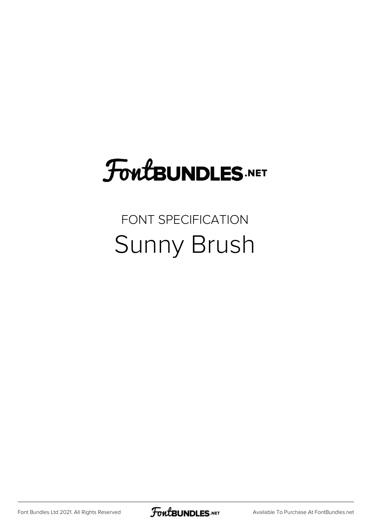## **FoutBUNDLES.NET**

## FONT SPECIFICATION Sunny Brush

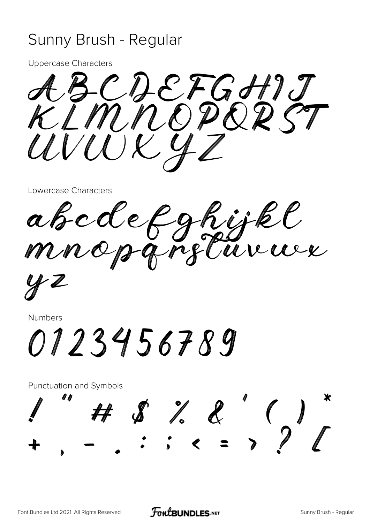## Sunny Brush - Regular

**Uppercase Characters** 

BCDEFGHIJ KIMMODQ;  $UVUVK$ 

Lowercase Characters

abcdefghijkl<br>mnopgrituvux mme

**Numbers** 

0123456789

Punctuation and Symbols 00  $8%2$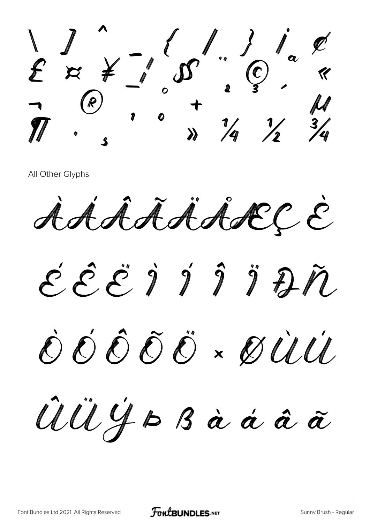$\sum_{\mathcal{L}} \sum_{\mathcal{R}} f(x) = \int_{0}^{1} \int_{0}^{1} f(x) dx$ <br>  $\sum_{\mathcal{R}} f(x) = \int_{0}^{1} \int_{0}^{1} f(x) dx$ <br>  $\sum_{\mathcal{R}} f(x) = \int_{0}^{1} \int_{0}^{1} f(x) dx$ 

All Other Glyphs

AAAAÄAÆCE

EEËI I Î I DI

O Ó Ô Õ Ö × Ø Ü Ü

AÜYYDBàáåã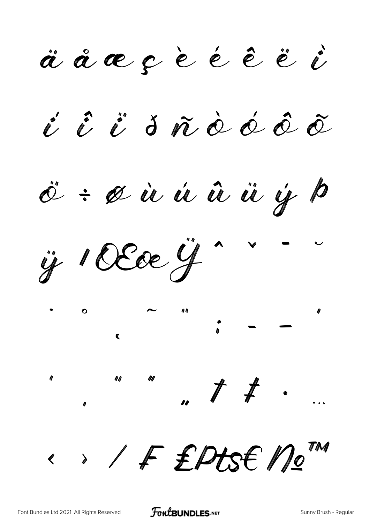äåæçèéêëi  $\acute{i}$   $\acute{i}$   $\acute{j}$   $\acute{j}$   $\acute{n}$   $\acute{\alpha}$   $\acute{\alpha}$   $\acute{\alpha}$   $\acute{\alpha}$ ë ÷ ø ù ù û û j p ij 10Eoc ij  $\bullet$  $\blacksquare$ > / F £PtsE Mo<sup>TM</sup>  $\ell$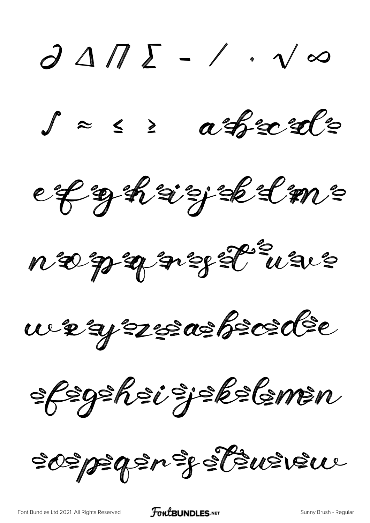∂ ∆ ∏ ∑ − ∕ ∙ √ ∞  $\int \,\,\approx\,\,\, \epsilon\,\,\,$   $\int \,\,\approx\,\,$   $\int \,\,\approx\,\,$   $\int \,\,\approx\,\,$   $\int \,\,\approx\,\,$ 

e & g h a gi el d'm ?

n so gra greget use

we yezesas becede

Sfegehei sjekelemen

Sospegsn& Stewiew